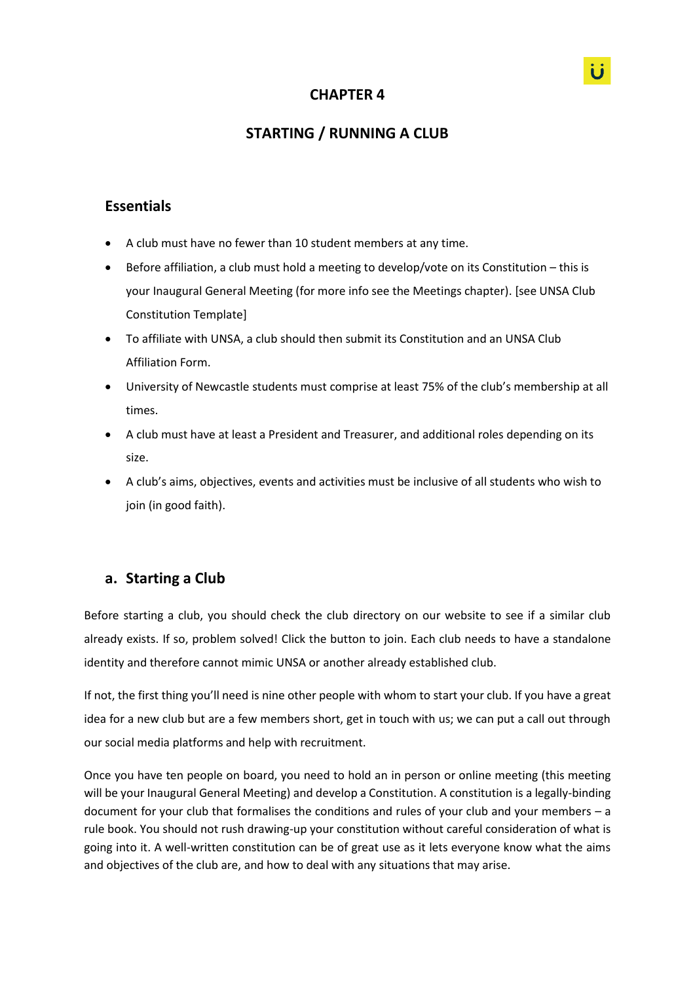# **CHAPTER 4**

# **STARTING / RUNNING A CLUB**

## **Essentials**

- A club must have no fewer than 10 student members at any time.
- Before affiliation, a club must hold a meeting to develop/vote on its Constitution this is your Inaugural General Meeting (for more info see the Meetings chapter). [see UNSA Club Constitution Template]
- To affiliate with UNSA, a club should then submit its Constitution and an UNSA Club Affiliation Form.
- University of Newcastle students must comprise at least 75% of the club's membership at all times.
- A club must have at least a President and Treasurer, and additional roles depending on its size.
- A club's aims, objectives, events and activities must be inclusive of all students who wish to join (in good faith).

## **a. Starting a Club**

Before starting a club, you should check the club directory on our website to see if a similar club already exists. If so, problem solved! Click the button to join. Each club needs to have a standalone identity and therefore cannot mimic UNSA or another already established club.

If not, the first thing you'll need is nine other people with whom to start your club. If you have a great idea for a new club but are a few members short, get in touch with us; we can put a call out through our social media platforms and help with recruitment.

Once you have ten people on board, you need to hold an in person or online meeting (this meeting will be your Inaugural General Meeting) and develop a Constitution. A constitution is a legally-binding document for your club that formalises the conditions and rules of your club and your members – a rule book. You should not rush drawing-up your constitution without careful consideration of what is going into it. A well-written constitution can be of great use as it lets everyone know what the aims and objectives of the club are, and how to deal with any situations that may arise.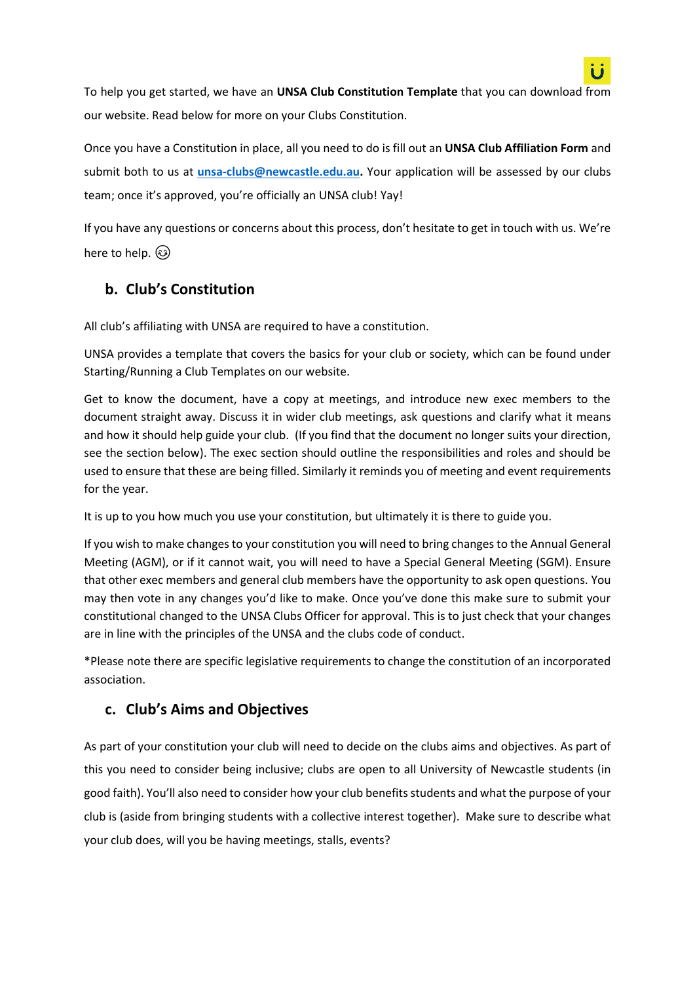

To help you get started, we have an **UNSA Club Constitution Template** that you can download from our website. Read below for more on your Clubs Constitution.

Once you have a Constitution in place, all you need to do is fill out an **UNSA Club Affiliation Form** and submit both to us at **[unsa-clubs@newcastle.edu.au.](mailto:unsa-clubs@newcastle.edu.au)** Your application will be assessed by our clubs team; once it's approved, you're officially an UNSA club! Yay!

If you have any questions or concerns about this process, don't hesitate to get in touch with us. We're here to help.  $\circled{3}$ 

# **b. Club's Constitution**

All club's affiliating with UNSA are required to have a constitution.

UNSA provides a template that covers the basics for your club or society, which can be found under Starting/Running a Club Templates on our website.

Get to know the document, have a copy at meetings, and introduce new exec members to the document straight away. Discuss it in wider club meetings, ask questions and clarify what it means and how it should help guide your club. (If you find that the document no longer suits your direction, see the section below). The exec section should outline the responsibilities and roles and should be used to ensure that these are being filled. Similarly it reminds you of meeting and event requirements for the year.

It is up to you how much you use your constitution, but ultimately it is there to guide you.

If you wish to make changes to your constitution you will need to bring changes to the Annual General Meeting (AGM), or if it cannot wait, you will need to have a Special General Meeting (SGM). Ensure that other exec members and general club members have the opportunity to ask open questions. You may then vote in any changes you'd like to make. Once you've done this make sure to submit your constitutional changed to the UNSA Clubs Officer for approval. This is to just check that your changes are in line with the principles of the UNSA and the clubs code of conduct.

\*Please note there are specific legislative requirements to change the constitution of an incorporated association.

# **c. Club's Aims and Objectives**

As part of your constitution your club will need to decide on the clubs aims and objectives. As part of this you need to consider being inclusive; clubs are open to all University of Newcastle students (in good faith). You'll also need to consider how your club benefits students and what the purpose of your club is (aside from bringing students with a collective interest together). Make sure to describe what your club does, will you be having meetings, stalls, events?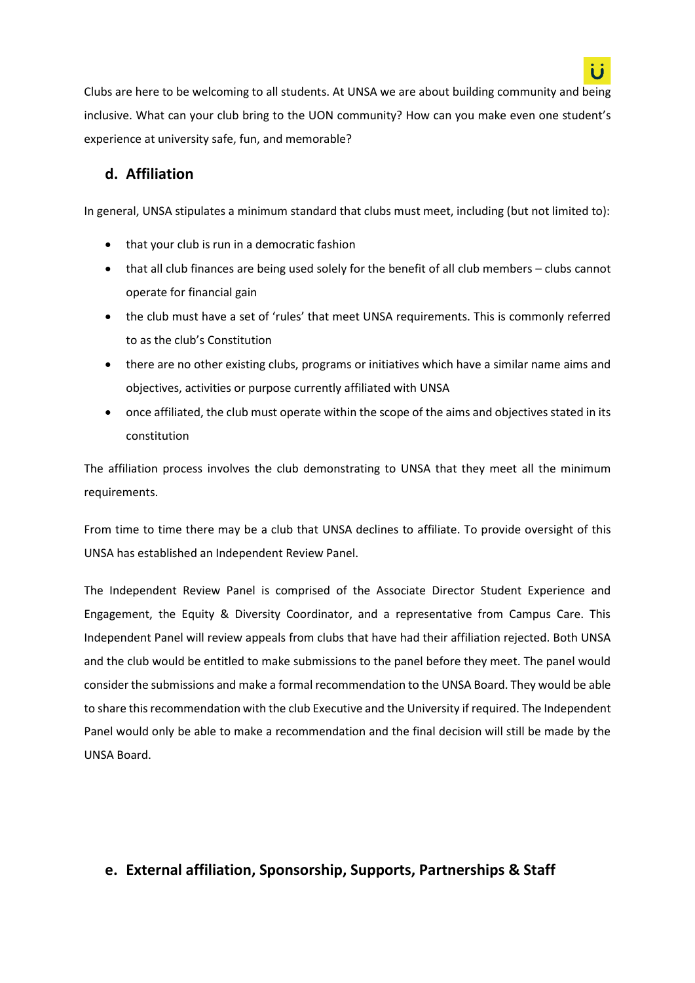

Clubs are here to be welcoming to all students. At UNSA we are about building community and being inclusive. What can your club bring to the UON community? How can you make even one student's experience at university safe, fun, and memorable?

## **d. Affiliation**

In general, UNSA stipulates a minimum standard that clubs must meet, including (but not limited to):

- that your club is run in a democratic fashion
- that all club finances are being used solely for the benefit of all club members clubs cannot operate for financial gain
- the club must have a set of 'rules' that meet UNSA requirements. This is commonly referred to as the club's Constitution
- there are no other existing clubs, programs or initiatives which have a similar name aims and objectives, activities or purpose currently affiliated with UNSA
- once affiliated, the club must operate within the scope of the aims and objectives stated in its constitution

The affiliation process involves the club demonstrating to UNSA that they meet all the minimum requirements.

From time to time there may be a club that UNSA declines to affiliate. To provide oversight of this UNSA has established an Independent Review Panel.

The Independent Review Panel is comprised of the Associate Director Student Experience and Engagement, the Equity & Diversity Coordinator, and a representative from Campus Care. This Independent Panel will review appeals from clubs that have had their affiliation rejected. Both UNSA and the club would be entitled to make submissions to the panel before they meet. The panel would consider the submissions and make a formal recommendation to the UNSA Board. They would be able to share this recommendation with the club Executive and the University if required. The Independent Panel would only be able to make a recommendation and the final decision will still be made by the UNSA Board.

# **e. External affiliation, Sponsorship, Supports, Partnerships & Staff**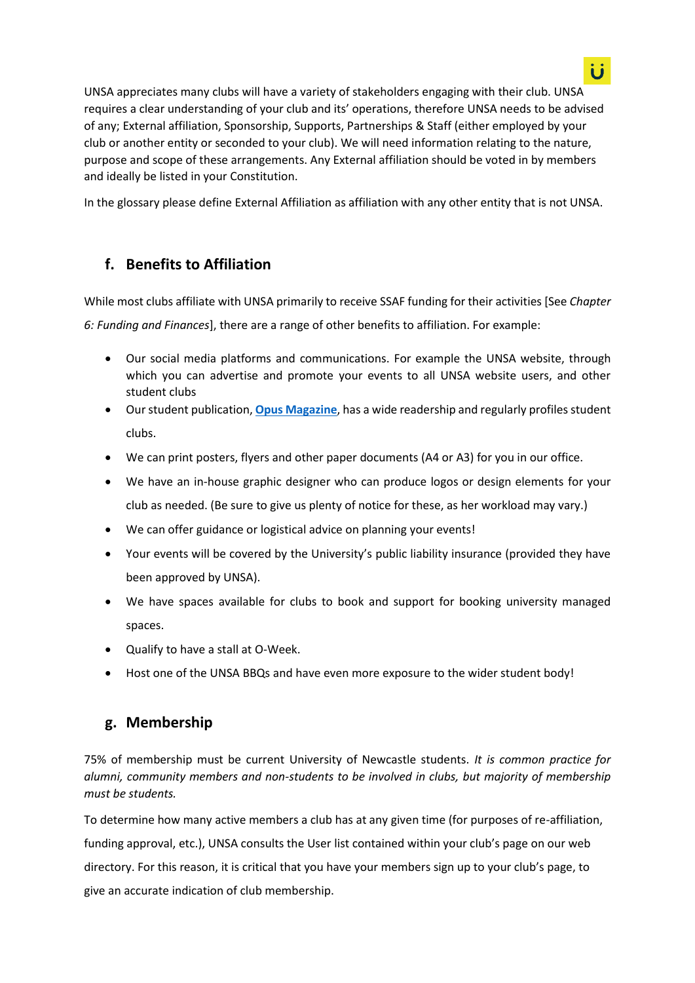UNSA appreciates many clubs will have a variety of stakeholders engaging with their club. UNSA requires a clear understanding of your club and its' operations, therefore UNSA needs to be advised of any; External affiliation, Sponsorship, Supports, Partnerships & Staff (either employed by your club or another entity or seconded to your club). We will need information relating to the nature, purpose and scope of these arrangements. Any External affiliation should be voted in by members and ideally be listed in your Constitution.

In the glossary please define External Affiliation as affiliation with any other entity that is not UNSA.

# **f. Benefits to Affiliation**

While most clubs affiliate with UNSA primarily to receive SSAF funding for their activities [See *Chapter 6: Funding and Finances*], there are a range of other benefits to affiliation. For example:

- Our social media platforms and communications. For example the UNSA website, through which you can advertise and promote your events to all UNSA website users, and other student clubs
- Our student publication, **[Opus Magazine](http://www.unsa.org.au/opus)**, has a wide readership and regularly profiles student clubs.
- We can print posters, flyers and other paper documents (A4 or A3) for you in our office.
- We have an in-house graphic designer who can produce logos or design elements for your club as needed. (Be sure to give us plenty of notice for these, as her workload may vary.)
- We can offer guidance or logistical advice on planning your events!
- Your events will be covered by the University's public liability insurance (provided they have been approved by UNSA).
- We have spaces available for clubs to book and support for booking university managed spaces.
- Qualify to have a stall at O-Week.
- Host one of the UNSA BBQs and have even more exposure to the wider student body!

# **g. Membership**

75% of membership must be current University of Newcastle students. *It is common practice for alumni, community members and non-students to be involved in clubs, but majority of membership must be students.* 

To determine how many active members a club has at any given time (for purposes of re-affiliation, funding approval, etc.), UNSA consults the User list contained within your club's page on our web directory. For this reason, it is critical that you have your members sign up to your club's page, to give an accurate indication of club membership.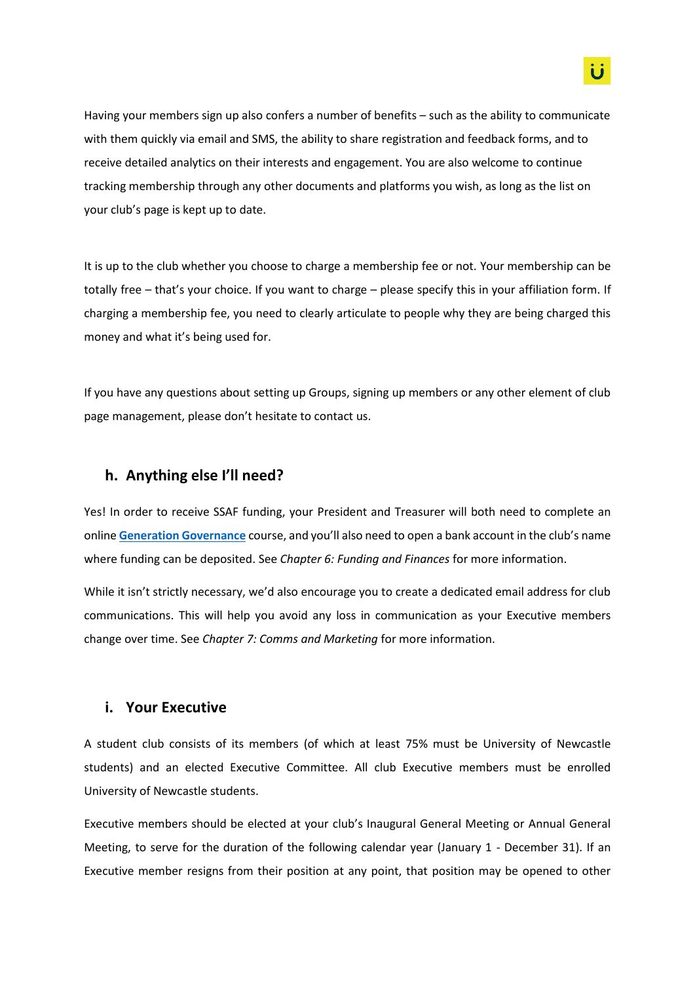Having your members sign up also confers a number of benefits – such as the ability to communicate with them quickly via email and SMS, the ability to share registration and feedback forms, and to receive detailed analytics on their interests and engagement. You are also welcome to continue tracking membership through any other documents and platforms you wish, as long as the list on your club's page is kept up to date.

It is up to the club whether you choose to charge a membership fee or not. Your membership can be totally free – that's your choice. If you want to charge – please specify this in your affiliation form. If charging a membership fee, you need to clearly articulate to people why they are being charged this money and what it's being used for.

If you have any questions about setting up Groups, signing up members or any other element of club page management, please don't hesitate to contact us.

### **h. Anything else I'll need?**

Yes! In order to receive SSAF funding, your President and Treasurer will both need to complete an online **[Generation Governance](https://www.newcastle.edu.au/__data/assets/pdf_file/0007/494251/GENERATION-GOVERNANCE-SELF-ENROLMENT-GUIDE-TO-BLACKBOARD.pdf)** course, and you'll also need to open a bank account in the club's name where funding can be deposited. See *Chapter 6: Funding and Finances* for more information.

While it isn't strictly necessary, we'd also encourage you to create a dedicated email address for club communications. This will help you avoid any loss in communication as your Executive members change over time. See *Chapter 7: Comms and Marketing* for more information.

### **i. Your Executive**

A student club consists of its members (of which at least 75% must be University of Newcastle students) and an elected Executive Committee. All club Executive members must be enrolled University of Newcastle students.

Executive members should be elected at your club's Inaugural General Meeting or Annual General Meeting, to serve for the duration of the following calendar year (January 1 - December 31). If an Executive member resigns from their position at any point, that position may be opened to other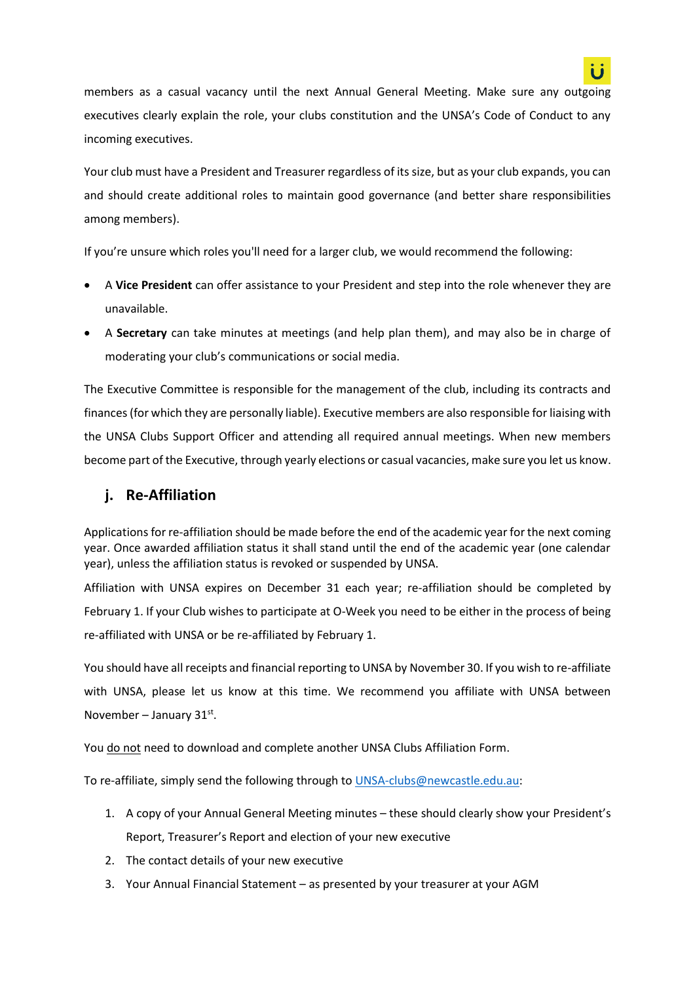

members as a casual vacancy until the next Annual General Meeting. Make sure any outgoing executives clearly explain the role, your clubs constitution and the UNSA's Code of Conduct to any incoming executives.

Your club must have a President and Treasurer regardless of its size, but as your club expands, you can and should create additional roles to maintain good governance (and better share responsibilities among members).

If you're unsure which roles you'll need for a larger club, we would recommend the following:

- A **Vice President** can offer assistance to your President and step into the role whenever they are unavailable.
- A **Secretary** can take minutes at meetings (and help plan them), and may also be in charge of moderating your club's communications or social media.

The Executive Committee is responsible for the management of the club, including its contracts and finances (for which they are personally liable). Executive members are also responsible for liaising with the UNSA Clubs Support Officer and attending all required annual meetings. When new members become part of the Executive, through yearly elections or casual vacancies, make sure you let us know.

## **j. Re-Affiliation**

Applications for re-affiliation should be made before the end of the academic year for the next coming year. Once awarded affiliation status it shall stand until the end of the academic year (one calendar year), unless the affiliation status is revoked or suspended by UNSA.

Affiliation with UNSA expires on December 31 each year; re-affiliation should be completed by February 1. If your Club wishes to participate at O-Week you need to be either in the process of being re-affiliated with UNSA or be re-affiliated by February 1.

You should have all receipts and financial reporting to UNSA by November 30. If you wish to re-affiliate with UNSA, please let us know at this time. We recommend you affiliate with UNSA between November – January  $31^{st}$ .

You do not need to download and complete another UNSA Clubs Affiliation Form.

To re-affiliate, simply send the following through to [UNSA-clubs@newcastle.edu.au:](mailto:UNSA-clubs@newcastle.edu.au)

- 1. A copy of your Annual General Meeting minutes these should clearly show your President's Report, Treasurer's Report and election of your new executive
- 2. The contact details of your new executive
- 3. Your Annual Financial Statement as presented by your treasurer at your AGM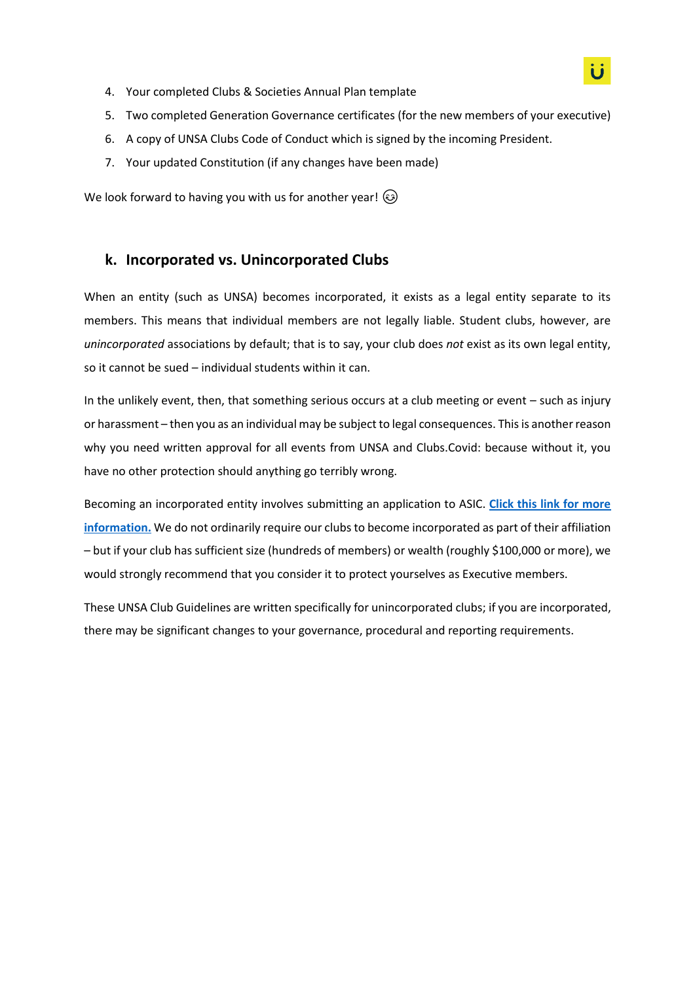- 4. Your completed Clubs & Societies Annual Plan template
- 5. Two completed Generation Governance certificates (for the new members of your executive)
- 6. A copy of UNSA Clubs Code of Conduct which is signed by the incoming President.
- 7. Your updated Constitution (if any changes have been made)

We look forward to having you with us for another year!  $\circled{e}$ 

## **k. Incorporated vs. Unincorporated Clubs**

When an entity (such as UNSA) becomes incorporated, it exists as a legal entity separate to its members. This means that individual members are not legally liable. Student clubs, however, are *unincorporated* associations by default; that is to say, your club does *not* exist as its own legal entity, so it cannot be sued – individual students within it can.

In the unlikely event, then, that something serious occurs at a club meeting or event – such as injury or harassment – then you as an individual may be subject to legal consequences. This is another reason why you need written approval for all events from UNSA and Clubs.Covid: because without it, you have no other protection should anything go terribly wrong.

Becoming an incorporated entity involves submitting an application to ASIC. **[Click this link for more](https://asic.gov.au/for-business/registering-a-business-name/)  [information.](https://asic.gov.au/for-business/registering-a-business-name/)** We do not ordinarily require our clubs to become incorporated as part of their affiliation – but if your club has sufficient size (hundreds of members) or wealth (roughly \$100,000 or more), we would strongly recommend that you consider it to protect yourselves as Executive members.

These UNSA Club Guidelines are written specifically for unincorporated clubs; if you are incorporated, there may be significant changes to your governance, procedural and reporting requirements.